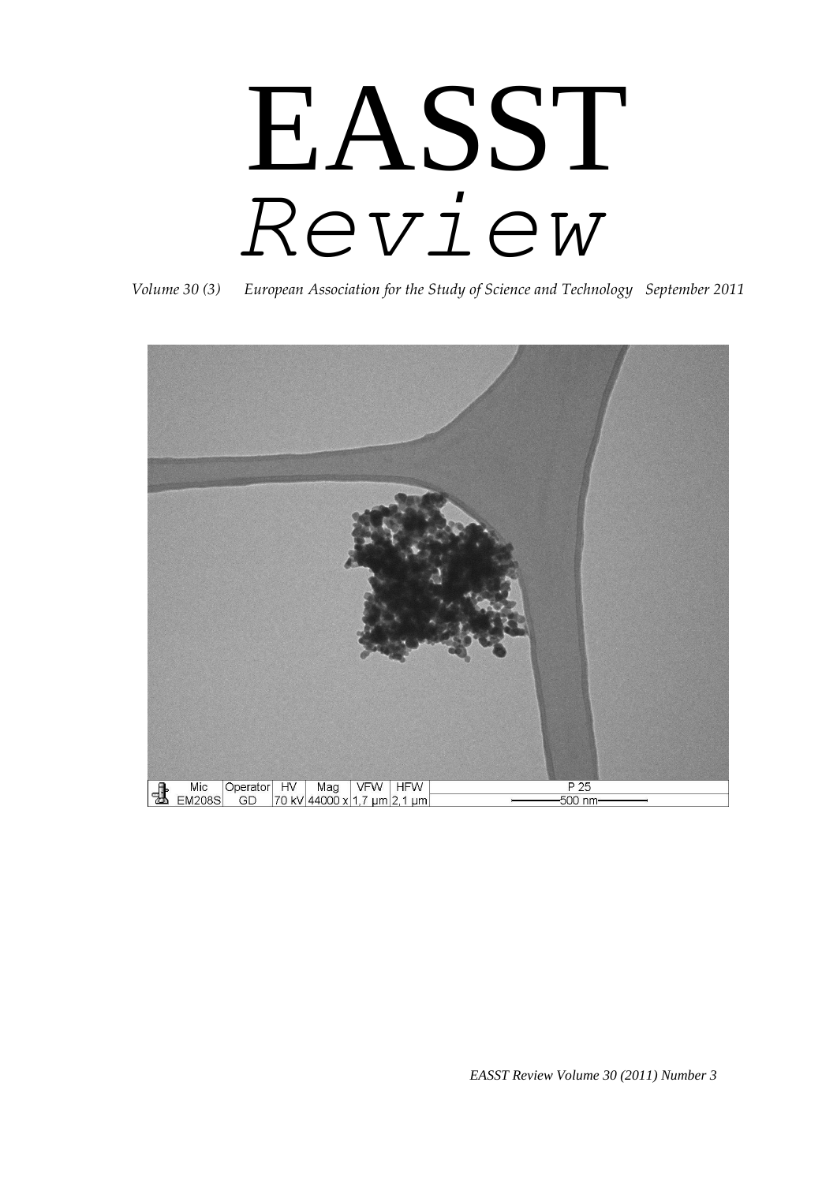# EASST *Review*



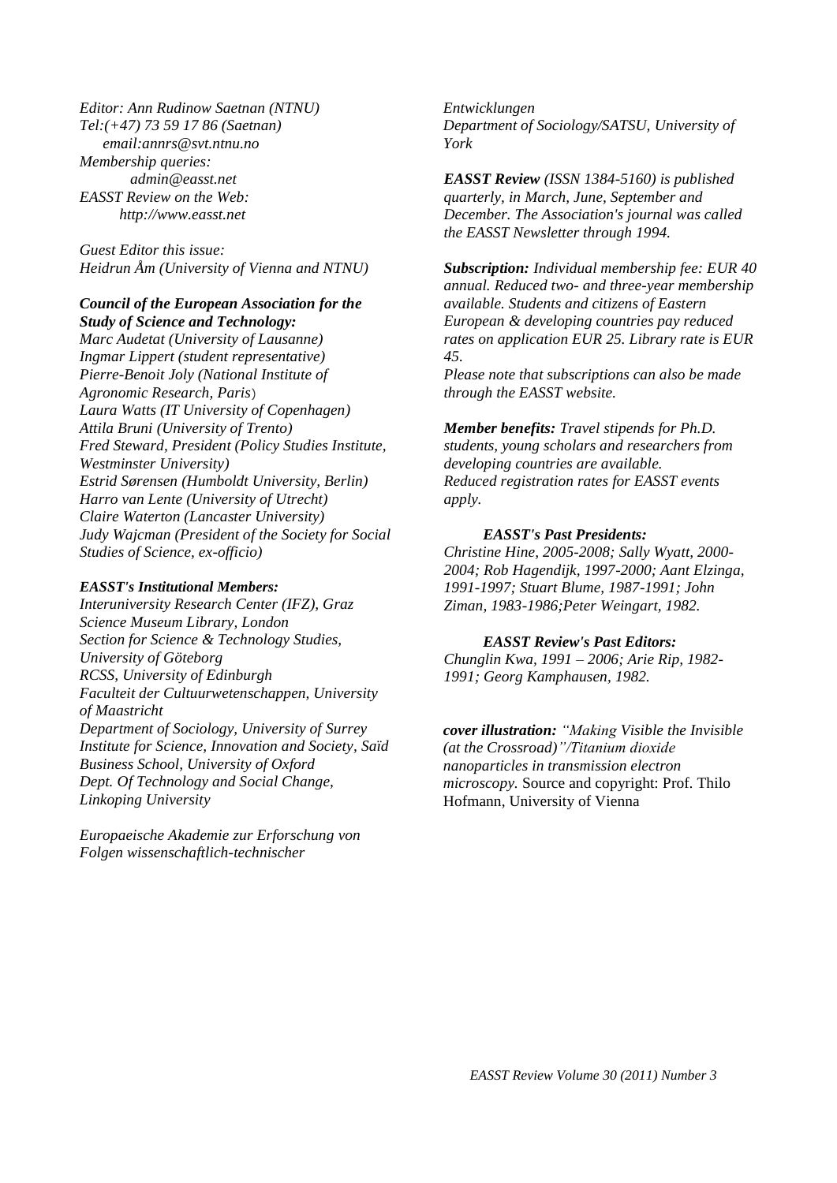*Editor: Ann Rudinow Saetnan (NTNU) Tel:(+47) 73 59 17 86 (Saetnan) email:annrs@svt.ntnu.no Membership queries: admin@easst.net EASST Review on the Web: http://www.easst.net*

*Guest Editor this issue: Heidrun Åm (University of Vienna and NTNU)*

#### *Council of the European Association for the Study of Science and Technology:*

*Marc Audetat (University of Lausanne) Ingmar Lippert (student representative) Pierre-Benoit Joly (National Institute of Agronomic Research, Paris*) *Laura Watts (IT University of Copenhagen) Attila Bruni (University of Trento) Fred Steward, President (Policy Studies Institute, Westminster University) Estrid Sørensen (Humboldt University, Berlin) Harro van Lente (University of Utrecht) Claire Waterton (Lancaster University) Judy Wajcman (President of the Society for Social Studies of Science, ex-officio)* 

#### *EASST's Institutional Members:*

*Interuniversity Research Center (IFZ), Graz Science Museum Library, London Section for Science & Technology Studies, University of Göteborg RCSS, University of Edinburgh Faculteit der Cultuurwetenschappen, University of Maastricht Department of Sociology, University of Surrey Institute for Science, Innovation and Society, Saïd Business School, University of Oxford Dept. Of Technology and Social Change, Linkoping University*

*Europaeische Akademie zur Erforschung von Folgen wissenschaftlich-technischer* 

*Entwicklungen Department of Sociology/SATSU, University of York*

*EASST Review (ISSN 1384-5160) is published quarterly, in March, June, September and December. The Association's journal was called the EASST Newsletter through 1994.* 

*Subscription: Individual membership fee: EUR 40 annual. Reduced two- and three-year membership available. Students and citizens of Eastern European & developing countries pay reduced rates on application EUR 25. Library rate is EUR 45.* 

*Please note that subscriptions can also be made through the EASST website.* 

*Member benefits: Travel stipends for Ph.D. students, young scholars and researchers from developing countries are available. Reduced registration rates for EASST events apply.* 

#### *EASST's Past Presidents:*

*Christine Hine, 2005-2008; Sally Wyatt, 2000- 2004; Rob Hagendijk, 1997-2000; Aant Elzinga, 1991-1997; Stuart Blume, 1987-1991; John Ziman, 1983-1986;Peter Weingart, 1982.* 

#### *EASST Review's Past Editors:*

*Chunglin Kwa, 1991 – 2006; Arie Rip, 1982- 1991; Georg Kamphausen, 1982.*

*cover illustration: "Making Visible the Invisible (at the Crossroad)"/Titanium dioxide nanoparticles in transmission electron microscopy.* Source and copyright: Prof. Thilo Hofmann, University of Vienna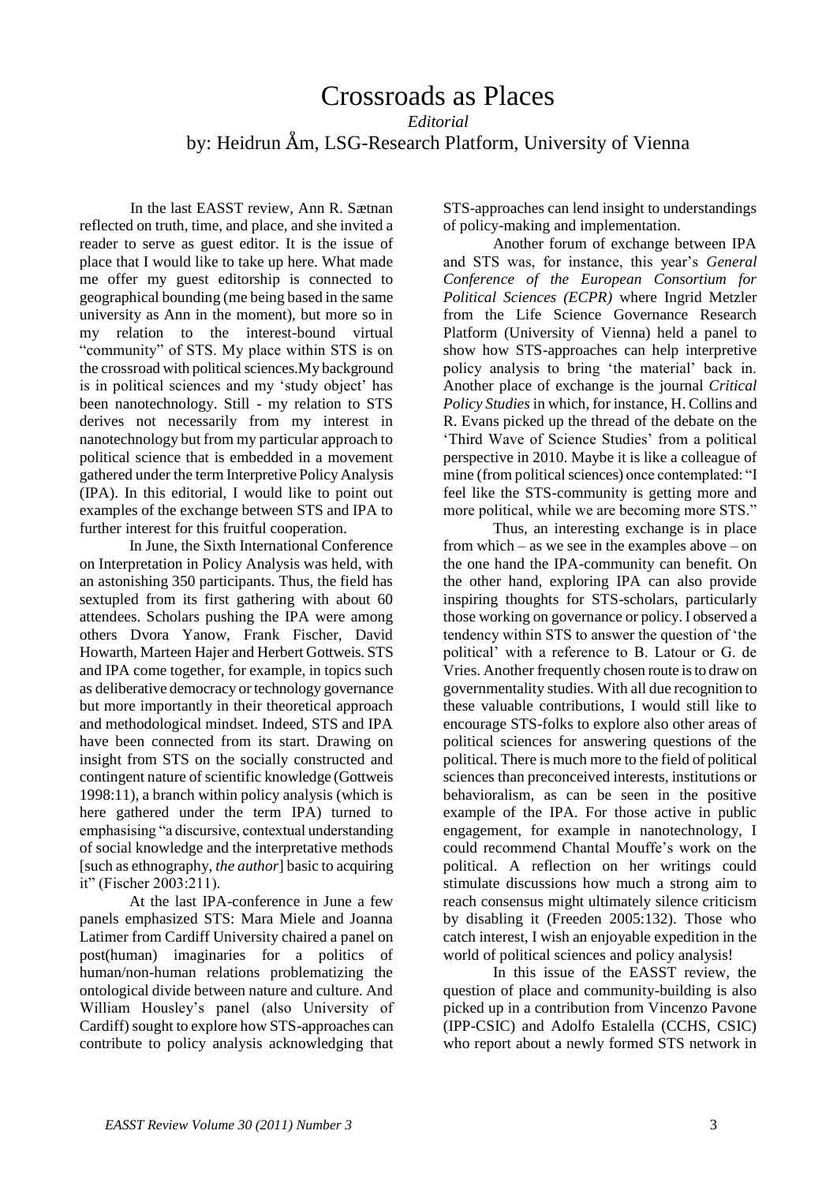### Crossroads as Places *Editorial* by: Heidrun Åm, LSG-Research Platform, University of Vienna

In the last EASST review, Ann R. Sætnan reflected on truth, time, and place, and she invited a reader to serve as guest editor. It is the issue of place that I would like to take up here. What made me offer my guest editorship is connected to geographical bounding (me being based in the same university as Ann in the moment), but more so in my relation to the interest-bound virtual "community" of STS. My place within STS is on the crossroad with political sciences.My background is in political sciences and my 'study object' has been nanotechnology. Still - my relation to STS derives not necessarily from my interest in nanotechnology but from my particular approach to political science that is embedded in a movement gathered under the term Interpretive Policy Analysis (IPA). In this editorial, I would like to point out examples of the exchange between STS and IPA to further interest for this fruitful cooperation.

In June, the Sixth International Conference on Interpretation in Policy Analysis was held, with an astonishing 350 participants. Thus, the field has sextupled from its first gathering with about 60 attendees. Scholars pushing the IPA were among others Dvora Yanow, Frank Fischer, David Howarth, Marteen Hajer and Herbert Gottweis. STS and IPA come together, for example, in topics such as deliberative democracy or technology governance but more importantly in their theoretical approach and methodological mindset. Indeed, STS and IPA have been connected from its start. Drawing on insight from STS on the socially constructed and contingent nature of scientific knowledge (Gottweis 1998:11), a branch within policy analysis (which is here gathered under the term IPA) turned to emphasising "a discursive, contextual understanding of social knowledge and the interpretative methods [such as ethnography, *the author*] basic to acquiring it" (Fischer 2003:211).

At the last IPA-conference in June a few panels emphasized STS: Mara Miele and Joanna Latimer from Cardiff University chaired a panel on post(human) imaginaries for a politics of human/non-human relations problematizing the ontological divide between nature and culture. And William Housley"s panel (also University of Cardiff) sought to explore how STS-approaches can contribute to policy analysis acknowledging that STS-approaches can lend insight to understandings of policy-making and implementation.

Another forum of exchange between IPA and STS was, for instance, this year"s *General Conference of the European Consortium for Political Sciences (ECPR)* where Ingrid Metzler from the Life Science Governance Research Platform (University of Vienna) held a panel to show how STS-approaches can help interpretive policy analysis to bring "the material" back in. Another place of exchange is the journal *Critical Policy Studies* in which, for instance, H. Collins and R. Evans picked up the thread of the debate on the "Third Wave of Science Studies" from a political perspective in 2010. Maybe it is like a colleague of mine (from political sciences) once contemplated: "I feel like the STS-community is getting more and more political, while we are becoming more STS."

Thus, an interesting exchange is in place from which – as we see in the examples above – on the one hand the IPA-community can benefit. On the other hand, exploring IPA can also provide inspiring thoughts for STS-scholars, particularly those working on governance or policy. I observed a tendency within STS to answer the question of "the political" with a reference to B. Latour or G. de Vries. Another frequently chosen route is to draw on governmentality studies. With all due recognition to these valuable contributions, I would still like to encourage STS-folks to explore also other areas of political sciences for answering questions of the political. There is much more to the field of political sciences than preconceived interests, institutions or behavioralism, as can be seen in the positive example of the IPA. For those active in public engagement, for example in nanotechnology, I could recommend Chantal Mouffe"s work on the political. A reflection on her writings could stimulate discussions how much a strong aim to reach consensus might ultimately silence criticism by disabling it (Freeden 2005:132). Those who catch interest, I wish an enjoyable expedition in the world of political sciences and policy analysis!

In this issue of the EASST review, the question of place and community-building is also picked up in a contribution from Vincenzo Pavone (IPP-CSIC) and Adolfo Estalella (CCHS, CSIC) who report about a newly formed STS network in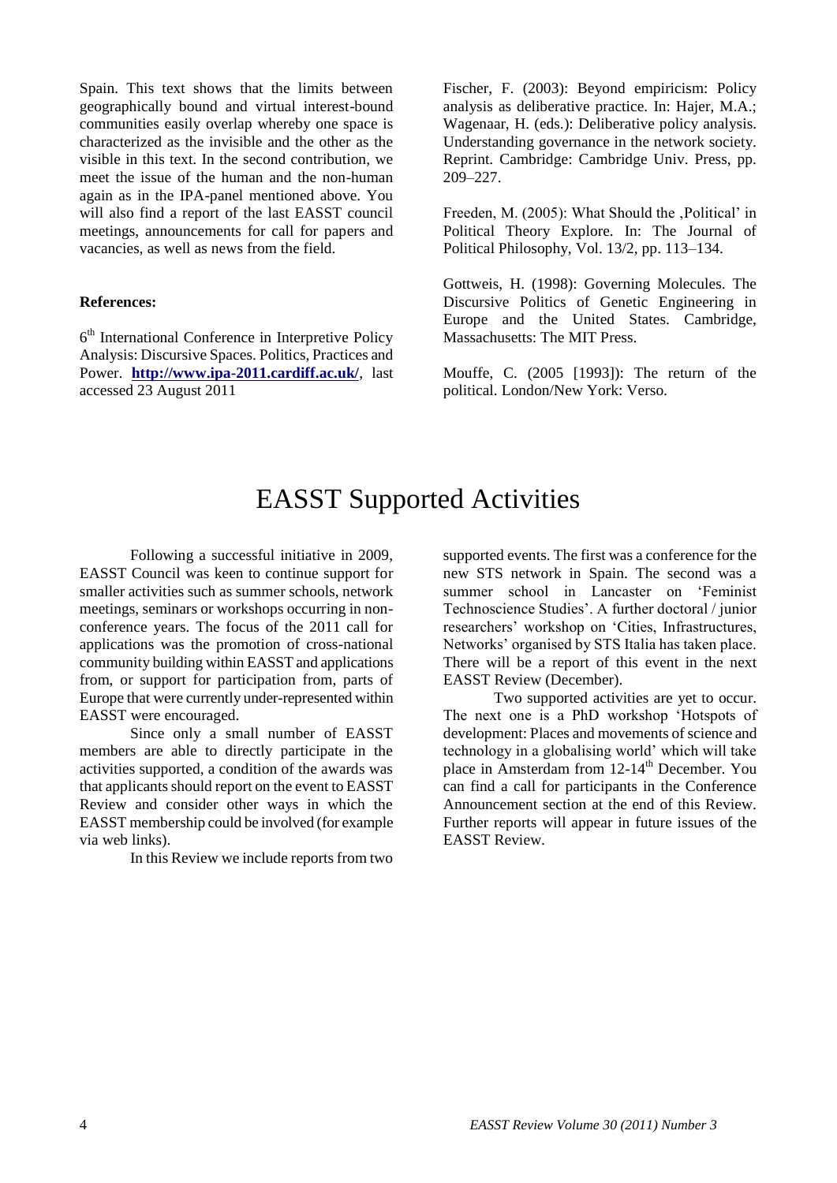Spain. This text shows that the limits between geographically bound and virtual interest-bound communities easily overlap whereby one space is characterized as the invisible and the other as the visible in this text. In the second contribution, we meet the issue of the human and the non-human again as in the IPA-panel mentioned above. You will also find a report of the last EASST council meetings, announcements for call for papers and vacancies, as well as news from the field.

#### **References:**

6 th International Conference in Interpretive Policy Analysis: Discursive Spaces. Politics, Practices and Power. **<http://www.ipa-2011.cardiff.ac.uk/>**, last accessed 23 August 2011

Fischer, F. (2003): Beyond empiricism: Policy analysis as deliberative practice. In: Hajer, M.A.; Wagenaar, H. (eds.): Deliberative policy analysis. Understanding governance in the network society. Reprint. Cambridge: Cambridge Univ. Press, pp. 209–227.

Freeden, M. (2005): What Should the , Political' in Political Theory Explore. In: The Journal of Political Philosophy, Vol. 13/2, pp. 113–134.

Gottweis, H. (1998): Governing Molecules. The Discursive Politics of Genetic Engineering in Europe and the United States. Cambridge, Massachusetts: The MIT Press.

Mouffe, C. (2005 [1993]): The return of the political. London/New York: Verso.

## EASST Supported Activities

Following a successful initiative in 2009, EASST Council was keen to continue support for smaller activities such as summer schools, network meetings, seminars or workshops occurring in nonconference years. The focus of the 2011 call for applications was the promotion of cross-national community building within EASST and applications from, or support for participation from, parts of Europe that were currently under-represented within EASST were encouraged.

Since only a small number of EASST members are able to directly participate in the activities supported, a condition of the awards was that applicants should report on the event to EASST Review and consider other ways in which the EASST membership could be involved (for example via web links).

In this Review we include reports from two

supported events. The first was a conference for the new STS network in Spain. The second was a summer school in Lancaster on "Feminist Technoscience Studies". A further doctoral / junior researchers" workshop on "Cities, Infrastructures, Networks" organised by STS Italia has taken place. There will be a report of this event in the next EASST Review (December).

Two supported activities are yet to occur. The next one is a PhD workshop "Hotspots of development: Places and movements of science and technology in a globalising world" which will take place in Amsterdam from  $12-14$ <sup>th</sup> December. You can find a call for participants in the Conference Announcement section at the end of this Review. Further reports will appear in future issues of the EASST Review.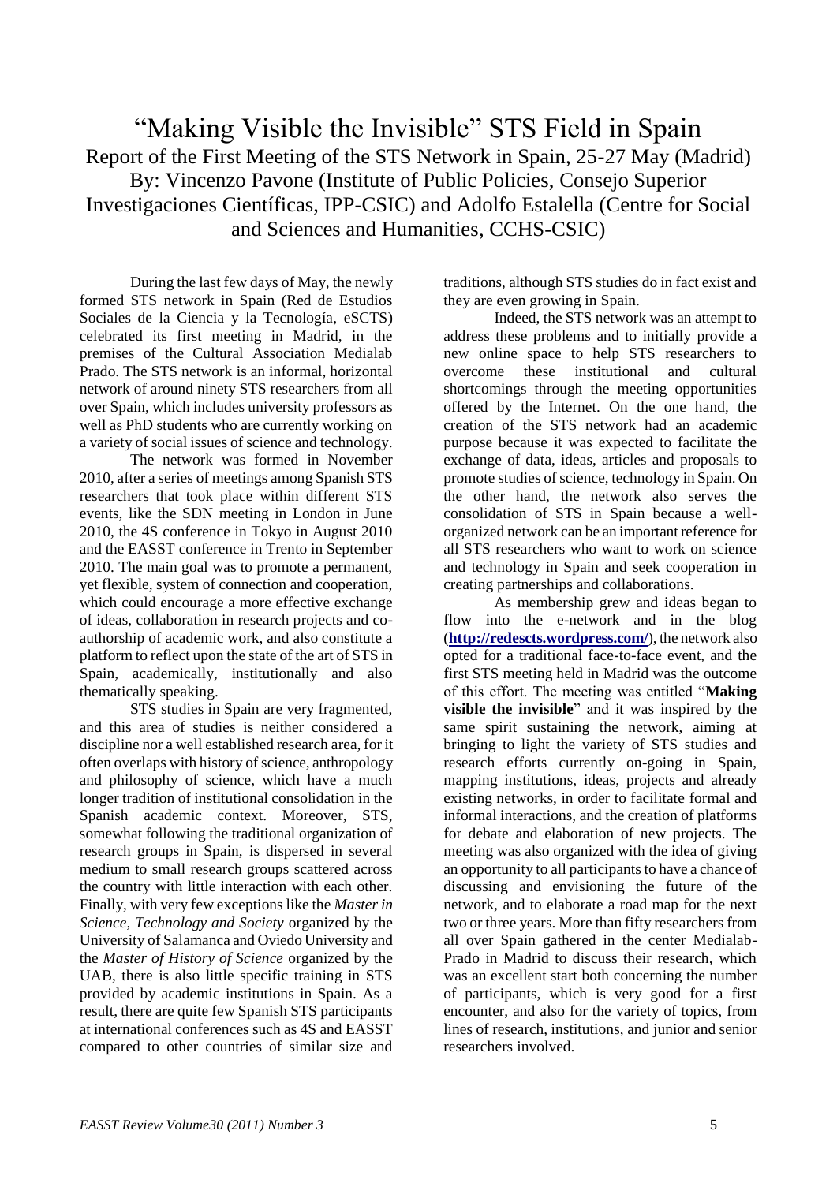## "Making Visible the Invisible" STS Field in Spain Report of the First Meeting of the STS Network in Spain, 25-27 May (Madrid) By: Vincenzo Pavone (Institute of Public Policies, Consejo Superior Investigaciones Científicas, IPP-CSIC) and Adolfo Estalella (Centre for Social and Sciences and Humanities, CCHS-CSIC)

During the last few days of May, the newly formed STS network in Spain (Red de Estudios Sociales de la Ciencia y la Tecnología, eSCTS) celebrated its first meeting in Madrid, in the premises of the Cultural Association Medialab Prado. The STS network is an informal, horizontal network of around ninety STS researchers from all over Spain, which includes university professors as well as PhD students who are currently working on a variety of social issues of science and technology.

The network was formed in November 2010, after a series of meetings among Spanish STS researchers that took place within different STS events, like the SDN meeting in London in June 2010, the 4S conference in Tokyo in August 2010 and the EASST conference in Trento in September 2010. The main goal was to promote a permanent, yet flexible, system of connection and cooperation, which could encourage a more effective exchange of ideas, collaboration in research projects and coauthorship of academic work, and also constitute a platform to reflect upon the state of the art of STS in Spain, academically, institutionally and also thematically speaking.

STS studies in Spain are very fragmented, and this area of studies is neither considered a discipline nor a well established research area, for it often overlaps with history of science, anthropology and philosophy of science, which have a much longer tradition of institutional consolidation in the Spanish academic context. Moreover, STS, somewhat following the traditional organization of research groups in Spain, is dispersed in several medium to small research groups scattered across the country with little interaction with each other. Finally, with very few exceptions like the *Master in Science, Technology and Society* organized by the University of Salamanca and Oviedo University and the *Master of History of Science* organized by the UAB, there is also little specific training in STS provided by academic institutions in Spain. As a result, there are quite few Spanish STS participants at international conferences such as 4S and EASST compared to other countries of similar size and

traditions, although STS studies do in fact exist and they are even growing in Spain.

Indeed, the STS network was an attempt to address these problems and to initially provide a new online space to help STS researchers to overcome these institutional and cultural shortcomings through the meeting opportunities offered by the Internet. On the one hand, the creation of the STS network had an academic purpose because it was expected to facilitate the exchange of data, ideas, articles and proposals to promote studies of science, technology in Spain. On the other hand, the network also serves the consolidation of STS in Spain because a wellorganized network can be an important reference for all STS researchers who want to work on science and technology in Spain and seek cooperation in creating partnerships and collaborations.

As membership grew and ideas began to flow into the e-network and in the blog (**<http://redescts.wordpress.com/>**), the network also opted for a traditional face-to-face event, and the first STS meeting held in Madrid was the outcome of this effort. The meeting was entitled "**Making visible the invisible**" and it was inspired by the same spirit sustaining the network, aiming at bringing to light the variety of STS studies and research efforts currently on-going in Spain, mapping institutions, ideas, projects and already existing networks, in order to facilitate formal and informal interactions, and the creation of platforms for debate and elaboration of new projects. The meeting was also organized with the idea of giving an opportunity to all participants to have a chance of discussing and envisioning the future of the network, and to elaborate a road map for the next two or three years. More than fifty researchers from all over Spain gathered in the center Medialab-Prado in Madrid to discuss their research, which was an excellent start both concerning the number of participants, which is very good for a first encounter, and also for the variety of topics, from lines of research, institutions, and junior and senior researchers involved.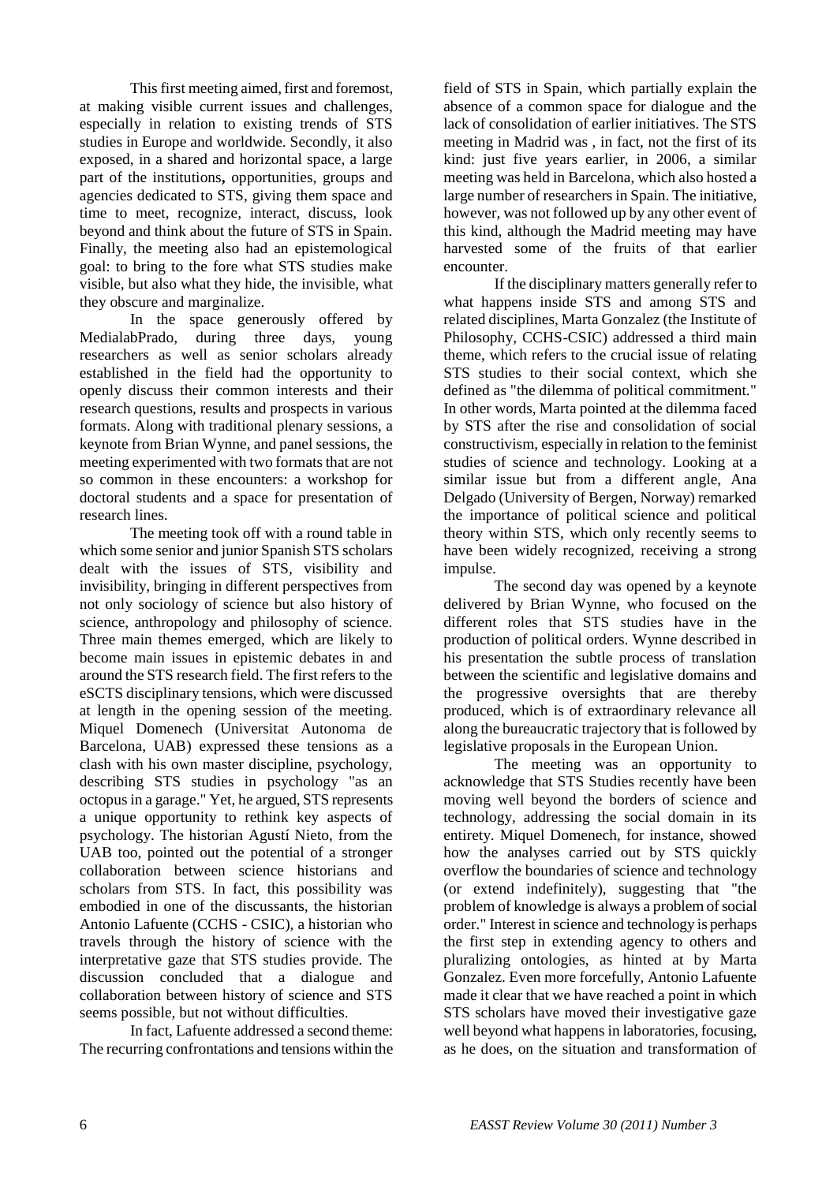This first meeting aimed, first and foremost, at making visible current issues and challenges, especially in relation to existing trends of STS studies in Europe and worldwide. Secondly, it also exposed, in a shared and horizontal space, a large part of the institutions**,** opportunities, groups and agencies dedicated to STS, giving them space and time to meet, recognize, interact, discuss, look beyond and think about the future of STS in Spain. Finally, the meeting also had an epistemological goal: to bring to the fore what STS studies make visible, but also what they hide, the invisible, what they obscure and marginalize.

In the space generously offered by MedialabPrado, during three days, young researchers as well as senior scholars already established in the field had the opportunity to openly discuss their common interests and their research questions, results and prospects in various formats. Along with traditional plenary sessions, a keynote from Brian Wynne, and panel sessions, the meeting experimented with two formats that are not so common in these encounters: a workshop for doctoral students and a space for presentation of research lines.

The meeting took off with a round table in which some senior and junior Spanish STS scholars dealt with the issues of STS, visibility and invisibility, bringing in different perspectives from not only sociology of science but also history of science, anthropology and philosophy of science. Three main themes emerged, which are likely to become main issues in epistemic debates in and around the STS research field. The first refers to the eSCTS disciplinary tensions, which were discussed at length in the opening session of the meeting. Miquel Domenech (Universitat Autonoma de Barcelona, UAB) expressed these tensions as a clash with his own master discipline, psychology, describing STS studies in psychology "as an octopus in a garage." Yet, he argued, STS represents a unique opportunity to rethink key aspects of psychology. The historian Agustí Nieto, from the UAB too, pointed out the potential of a stronger collaboration between science historians and scholars from STS. In fact, this possibility was embodied in one of the discussants, the historian Antonio Lafuente (CCHS - CSIC), a historian who travels through the history of science with the interpretative gaze that STS studies provide. The discussion concluded that a dialogue and collaboration between history of science and STS seems possible, but not without difficulties.

In fact, Lafuente addressed a second theme: The recurring confrontations and tensions within the field of STS in Spain, which partially explain the absence of a common space for dialogue and the lack of consolidation of earlier initiatives. The STS meeting in Madrid was , in fact, not the first of its kind: just five years earlier, in 2006, a similar meeting was held in Barcelona, which also hosted a large number of researchers in Spain. The initiative, however, was not followed up by any other event of this kind, although the Madrid meeting may have harvested some of the fruits of that earlier encounter.

If the disciplinary matters generally refer to what happens inside STS and among STS and related disciplines, Marta Gonzalez (the Institute of Philosophy, CCHS-CSIC) addressed a third main theme, which refers to the crucial issue of relating STS studies to their social context, which she defined as "the dilemma of political commitment." In other words, Marta pointed at the dilemma faced by STS after the rise and consolidation of social constructivism, especially in relation to the feminist studies of science and technology. Looking at a similar issue but from a different angle, Ana Delgado (University of Bergen, Norway) remarked the importance of political science and political theory within STS, which only recently seems to have been widely recognized, receiving a strong impulse.

The second day was opened by a keynote delivered by Brian Wynne, who focused on the different roles that STS studies have in the production of political orders. Wynne described in his presentation the subtle process of translation between the scientific and legislative domains and the progressive oversights that are thereby produced, which is of extraordinary relevance all along the bureaucratic trajectory that is followed by legislative proposals in the European Union.

The meeting was an opportunity to acknowledge that STS Studies recently have been moving well beyond the borders of science and technology, addressing the social domain in its entirety. Miquel Domenech, for instance, showed how the analyses carried out by STS quickly overflow the boundaries of science and technology (or extend indefinitely), suggesting that "the problem of knowledge is always a problem of social order." Interest in science and technology is perhaps the first step in extending agency to others and pluralizing ontologies, as hinted at by Marta Gonzalez. Even more forcefully, Antonio Lafuente made it clear that we have reached a point in which STS scholars have moved their investigative gaze well beyond what happens in laboratories, focusing, as he does, on the situation and transformation of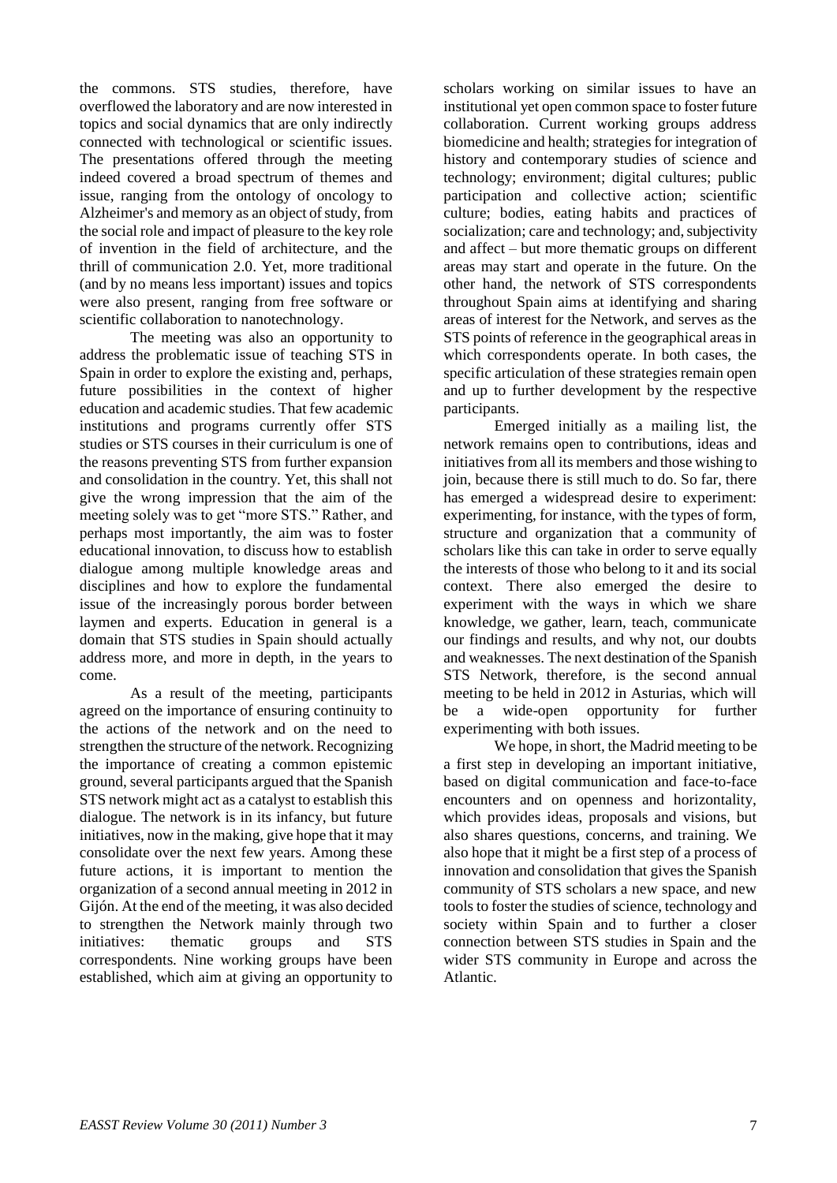the commons. STS studies, therefore, have overflowed the laboratory and are now interested in topics and social dynamics that are only indirectly connected with technological or scientific issues. The presentations offered through the meeting indeed covered a broad spectrum of themes and issue, ranging from the ontology of oncology to Alzheimer's and memory as an object of study, from the social role and impact of pleasure to the key role of invention in the field of architecture, and the thrill of communication 2.0. Yet, more traditional (and by no means less important) issues and topics were also present, ranging from free software or scientific collaboration to nanotechnology.

The meeting was also an opportunity to address the problematic issue of teaching STS in Spain in order to explore the existing and, perhaps, future possibilities in the context of higher education and academic studies. That few academic institutions and programs currently offer STS studies or STS courses in their curriculum is one of the reasons preventing STS from further expansion and consolidation in the country. Yet, this shall not give the wrong impression that the aim of the meeting solely was to get "more STS." Rather, and perhaps most importantly, the aim was to foster educational innovation, to discuss how to establish dialogue among multiple knowledge areas and disciplines and how to explore the fundamental issue of the increasingly porous border between laymen and experts. Education in general is a domain that STS studies in Spain should actually address more, and more in depth, in the years to come.

As a result of the meeting, participants agreed on the importance of ensuring continuity to the actions of the network and on the need to strengthen the structure of the network. Recognizing the importance of creating a common epistemic ground, several participants argued that the Spanish STS network might act as a catalyst to establish this dialogue. The network is in its infancy, but future initiatives, now in the making, give hope that it may consolidate over the next few years. Among these future actions, it is important to mention the organization of a second annual meeting in 2012 in Gijón. At the end of the meeting, it was also decided to strengthen the Network mainly through two initiatives: thematic groups and STS correspondents. Nine working groups have been established, which aim at giving an opportunity to

scholars working on similar issues to have an institutional yet open common space to foster future collaboration. Current working groups address biomedicine and health; strategies for integration of history and contemporary studies of science and technology; environment; digital cultures; public participation and collective action; scientific culture; bodies, eating habits and practices of socialization; care and technology; and, subjectivity and affect – but more thematic groups on different areas may start and operate in the future. On the other hand, the network of STS correspondents throughout Spain aims at identifying and sharing areas of interest for the Network, and serves as the STS points of reference in the geographical areas in which correspondents operate. In both cases, the specific articulation of these strategies remain open and up to further development by the respective participants.

Emerged initially as a mailing list, the network remains open to contributions, ideas and initiatives from all its members and those wishing to join, because there is still much to do. So far, there has emerged a widespread desire to experiment: experimenting, for instance, with the types of form, structure and organization that a community of scholars like this can take in order to serve equally the interests of those who belong to it and its social context. There also emerged the desire to experiment with the ways in which we share knowledge, we gather, learn, teach, communicate our findings and results, and why not, our doubts and weaknesses. The next destination of the Spanish STS Network, therefore, is the second annual meeting to be held in 2012 in Asturias, which will be a wide-open opportunity for further experimenting with both issues.

We hope, in short, the Madrid meeting to be a first step in developing an important initiative, based on digital communication and face-to-face encounters and on openness and horizontality, which provides ideas, proposals and visions, but also shares questions, concerns, and training. We also hope that it might be a first step of a process of innovation and consolidation that gives the Spanish community of STS scholars a new space, and new tools to foster the studies of science, technology and society within Spain and to further a closer connection between STS studies in Spain and the wider STS community in Europe and across the Atlantic.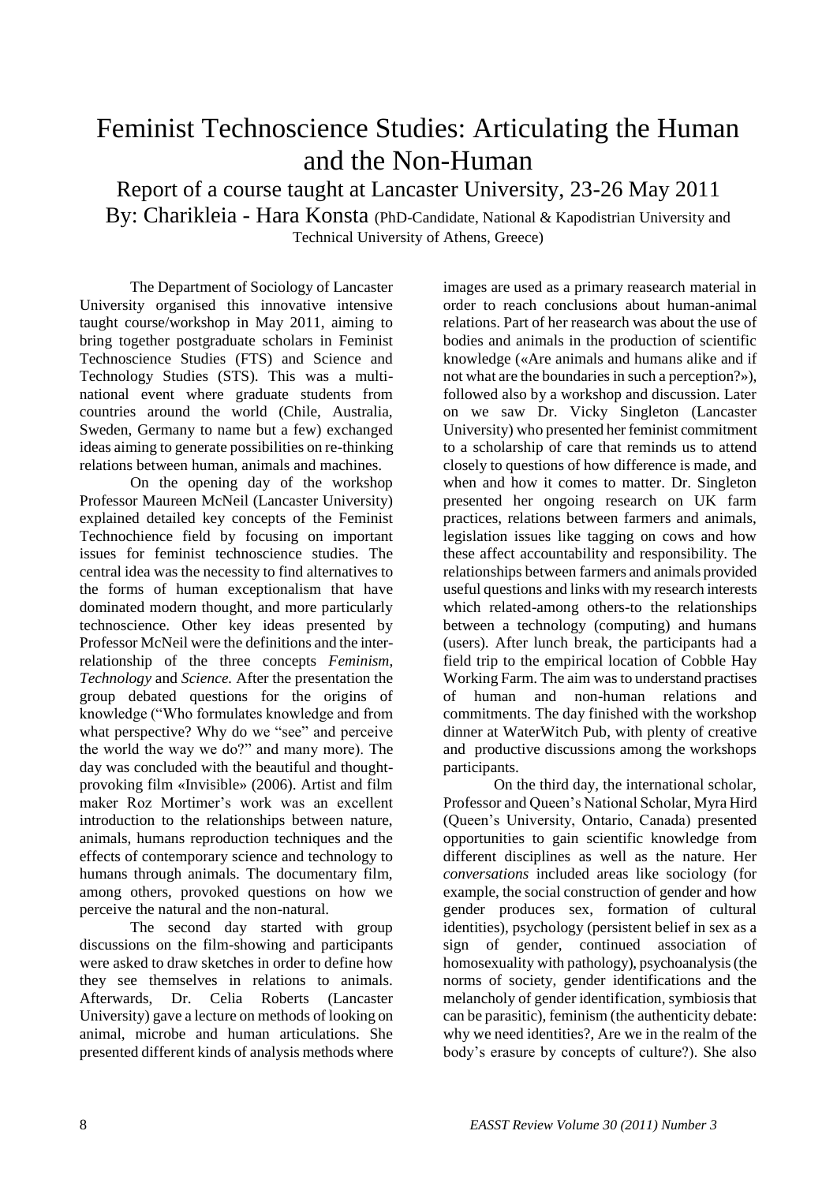# Feminist Technoscience Studies: Articulating the Human and the Non-Human

Report of a course taught at Lancaster University, 23-26 May 2011

By: Charikleia - Hara Konsta (PhD-Candidate, National & Kapodistrian University and Technical University of Athens, Greece)

The Department of Sociology of Lancaster University organised this innovative intensive taught course/workshop in May 2011, aiming to bring together postgraduate scholars in Feminist Technoscience Studies (FTS) and Science and Technology Studies (STS). This was a multinational event where graduate students from countries around the world (Chile, Australia, Sweden, Germany to name but a few) exchanged ideas aiming to generate possibilities on re-thinking relations between human, animals and machines.

On the opening day of the workshop Professor Maureen McNeil (Lancaster University) explained detailed key concepts of the Feminist Technochience field by focusing on important issues for feminist technoscience studies. The central idea was the necessity to find alternatives to the forms of human exceptionalism that have dominated modern thought, and more particularly technoscience. Other key ideas presented by Professor McNeil were the definitions and the interrelationship of the three concepts *Feminism*, *Technology* and *Science.* After the presentation the group debated questions for the origins of knowledge ("Who formulates knowledge and from what perspective? Why do we "see" and perceive the world the way we do?" and many more). The day was concluded with the beautiful and thoughtprovoking film «Invisible» (2006). Artist and film maker Roz Mortimer"s work was an excellent introduction to the relationships between nature, animals, humans reproduction techniques and the effects of contemporary science and technology to humans through animals. The documentary film, among others, provoked questions on how we perceive the natural and the non-natural.

The second day started with group discussions on the film-showing and participants were asked to draw sketches in order to define how they see themselves in relations to animals. Afterwards, Dr. Celia Roberts (Lancaster University) gave a lecture on methods of looking on animal, microbe and human articulations. She presented different kinds of analysis methods where

images are used as a primary reasearch material in order to reach conclusions about human-animal relations. Part of her reasearch was about the use of bodies and animals in the production of scientific knowledge («Are animals and humans alike and if not what are the boundaries in such a perception?»), followed also by a workshop and discussion. Later on we saw Dr. Vicky Singleton (Lancaster University) who presented her feminist commitment to a scholarship of care that reminds us to attend closely to questions of how difference is made, and when and how it comes to matter. Dr. Singleton presented her ongoing research on UK farm practices, relations between farmers and animals, legislation issues like tagging on cows and how these affect accountability and responsibility. The relationships between farmers and animals provided useful questions and links with my research interests which related-among others-to the relationships between a technology (computing) and humans (users). After lunch break, the participants had a field trip to the empirical location of Cobble Hay Working Farm. The aim was to understand practises of human and non-human relations and commitments. The day finished with the workshop dinner at WaterWitch Pub, with plenty of creative and productive discussions among the workshops participants.

On the third day, the international scholar, Professor and Queen"s National Scholar, Myra Hird (Queen"s University, Ontario, Canada) presented opportunities to gain scientific knowledge from different disciplines as well as the nature. Her *conversations* included areas like sociology (for example, the social construction of gender and how gender produces sex, formation of cultural identities), psychology (persistent belief in sex as a sign of gender, continued association of homosexuality with pathology), psychoanalysis (the norms of society, gender identifications and the melancholy of gender identification, symbiosis that can be parasitic), feminism (the authenticity debate: why we need identities?, Are we in the realm of the body"s erasure by concepts of culture?). She also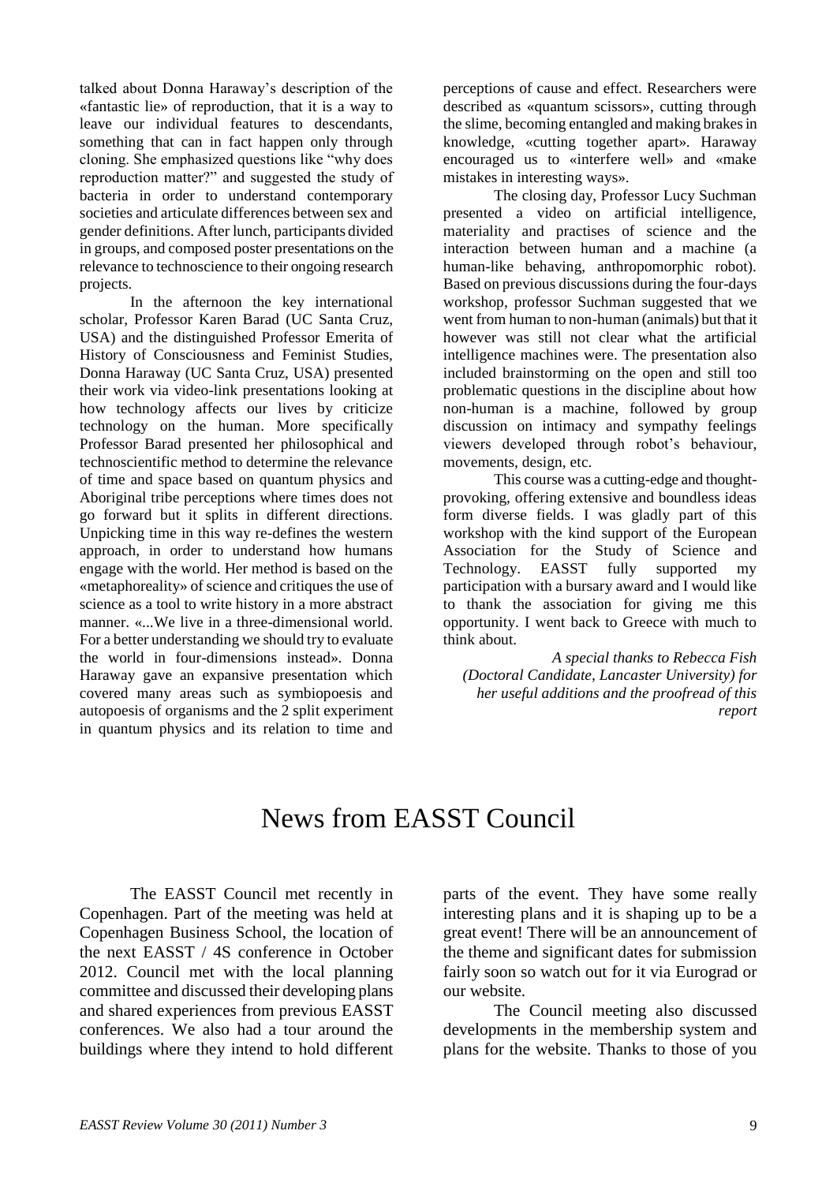talked about Donna Haraway"s description of the «fantastic lie» of reproduction, that it is a way to leave our individual features to descendants, something that can in fact happen only through cloning. She emphasized questions like "why does reproduction matter?" and suggested the study of bacteria in order to understand contemporary societies and articulate differences between sex and gender definitions. After lunch, participants divided in groups, and composed poster presentations on the relevance to technoscience to their ongoing research projects.

In the afternoon the key international scholar, Professor Karen Barad (UC Santa Cruz, USA) and the distinguished Professor Emerita of History of Consciousness and Feminist Studies, Donna Haraway (UC Santa Cruz, USA) presented their work via video-link presentations looking at how technology affects our lives by criticize technology on the human. More specifically Professor Barad presented her philosophical and technoscientific method to determine the relevance of time and space based on quantum physics and Aboriginal tribe perceptions where times does not go forward but it splits in different directions. Unpicking time in this way re-defines the western approach, in order to understand how humans engage with the world. Her method is based on the «metaphoreality» of science and critiques the use of science as a tool to write history in a more abstract manner. «...We live in a three-dimensional world. For a better understanding we should try to evaluate the world in four-dimensions instead». Donna Haraway gave an expansive presentation which covered many areas such as symbiopoesis and autopoesis of organisms and the 2 split experiment in quantum physics and its relation to time and perceptions of cause and effect. Researchers were described as «quantum scissors», cutting through the slime, becoming entangled and making brakes in knowledge, «cutting together apart». Haraway encouraged us to «interfere well» and «make mistakes in interesting ways».

The closing day, Professor Lucy Suchman presented a video on artificial intelligence, materiality and practises of science and the interaction between human and a machine (a human-like behaving, anthropomorphic robot). Based on previous discussions during the four-days workshop, professor Suchman suggested that we went from human to non-human (animals) but that it however was still not clear what the artificial intelligence machines were. The presentation also included brainstorming on the open and still too problematic questions in the discipline about how non-human is a machine, followed by group discussion on intimacy and sympathy feelings viewers developed through robot"s behaviour, movements, design, etc.

This course was a cutting-edge and thoughtprovoking, offering extensive and boundless ideas form diverse fields. I was gladly part of this workshop with the kind support of the European Association for the Study of Science and Technology. EASST fully supported my participation with a bursary award and I would like to thank the association for giving me this opportunity. I went back to Greece with much to think about.

*A special thanks to Rebecca Fish (Doctoral Candidate, Lancaster University) for her useful additions and the proofread of this report*

# News from EASST Council

The EASST Council met recently in Copenhagen. Part of the meeting was held at Copenhagen Business School, the location of the next EASST / 4S conference in October 2012. Council met with the local planning committee and discussed their developing plans and shared experiences from previous EASST conferences. We also had a tour around the buildings where they intend to hold different parts of the event. They have some really interesting plans and it is shaping up to be a great event! There will be an announcement of the theme and significant dates for submission fairly soon so watch out for it via Eurograd or our website.

The Council meeting also discussed developments in the membership system and plans for the website. Thanks to those of you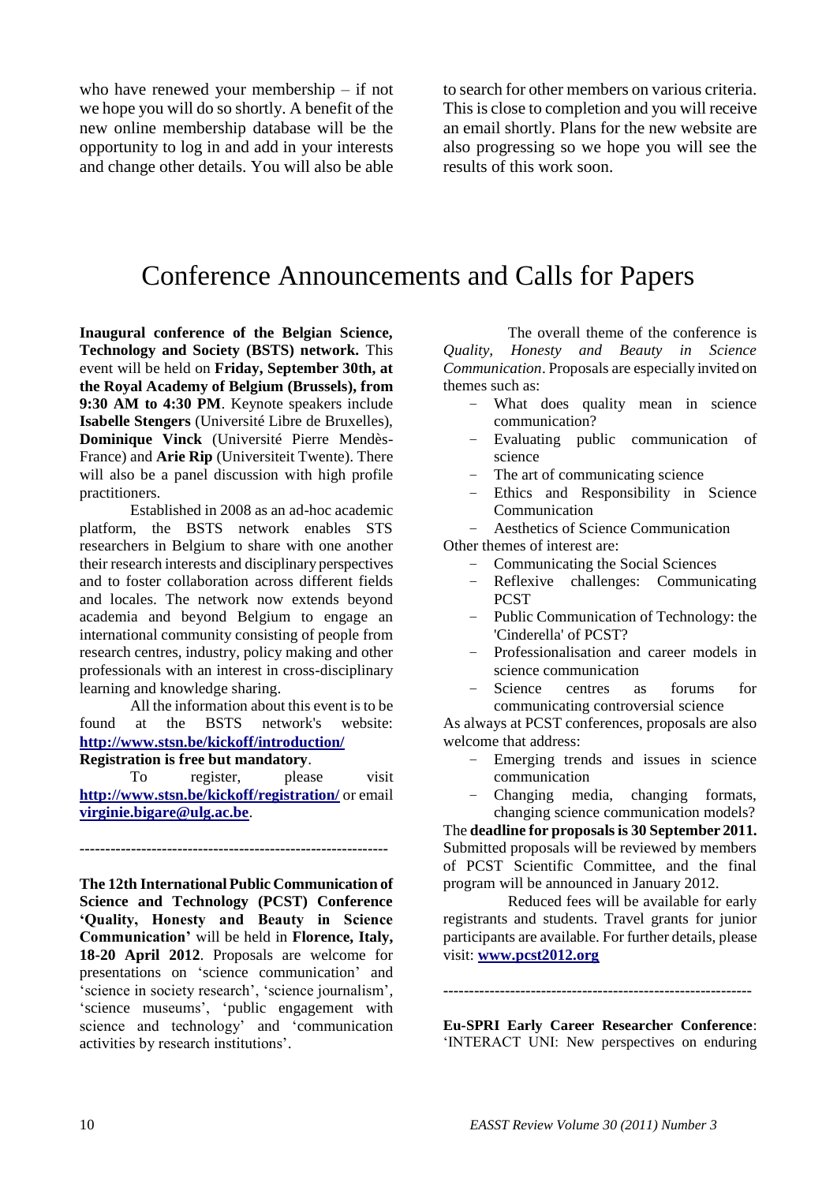who have renewed your membership – if not we hope you will do so shortly. A benefit of the new online membership database will be the opportunity to log in and add in your interests and change other details. You will also be able to search for other members on various criteria. This is close to completion and you will receive an email shortly. Plans for the new website are also progressing so we hope you will see the results of this work soon.

## Conference Announcements and Calls for Papers

**Inaugural conference of the Belgian Science, Technology and Society (BSTS) network.** This event will be held on **Friday, September 30th, at the Royal Academy of Belgium (Brussels), from 9:30 AM to 4:30 PM**. Keynote speakers include **Isabelle Stengers** (Université Libre de Bruxelles), **Dominique Vinck** (Université Pierre Mendès-France) and **Arie Rip** (Universiteit Twente). There will also be a panel discussion with high profile practitioners.

Established in 2008 as an ad-hoc academic platform, the BSTS network enables STS researchers in Belgium to share with one another their research interests and disciplinary perspectives and to foster collaboration across different fields and locales. The network now extends beyond academia and beyond Belgium to engage an international community consisting of people from research centres, industry, policy making and other professionals with an interest in cross-disciplinary learning and knowledge sharing.

All the information about this event is to be found at the BSTS network's website: **<http://www.stsn.be/kickoff/introduction/> Registration is free but mandatory**.

To register, please visit **<http://www.stsn.be/kickoff/registration/>** or email **[virginie.bigare@ulg.ac.be](https://webmail.univie.ac.at/src/compose.php?send_to=virginie.bigare@ulg.ac.be)**.

**------------------------------------------------------------**

**The 12th International Public Communication of Science and Technology (PCST) Conference 'Quality, Honesty and Beauty in Science Communication'** will be held in **Florence, Italy, 18-20 April 2012**. Proposals are welcome for presentations on "science communication" and 'science in society research', 'science journalism', "science museums", "public engagement with science and technology' and 'communication activities by research institutions".

The overall theme of the conference is *Quality, Honesty and Beauty in Science Communication*. Proposals are especially invited on themes such as:

- What does quality mean in science communication?
- Evaluating public communication of science
- The art of communicating science
- Ethics and Responsibility in Science Communication
- Aesthetics of Science Communication

Other themes of interest are:

- Communicating the Social Sciences
	- Reflexive challenges: Communicating **PCST**
	- Public Communication of Technology: the 'Cinderella' of PCST?
- Professionalisation and career models in science communication
- Science centres as forums for communicating controversial science

As always at PCST conferences, proposals are also welcome that address:

- Emerging trends and issues in science communication
- Changing media, changing formats, changing science communication models?

The **deadline for proposals is 30 September 2011.** Submitted proposals will be reviewed by members of PCST Scientific Committee, and the final program will be announced in January 2012.

Reduced fees will be available for early registrants and students. Travel grants for junior participants are available. For further details, please visit: **[www.pcst2012.org](http://www.pcst2012.org/)**

**------------------------------------------------------------**

**Eu-SPRI Early Career Researcher Conference**: "INTERACT UNI: New perspectives on enduring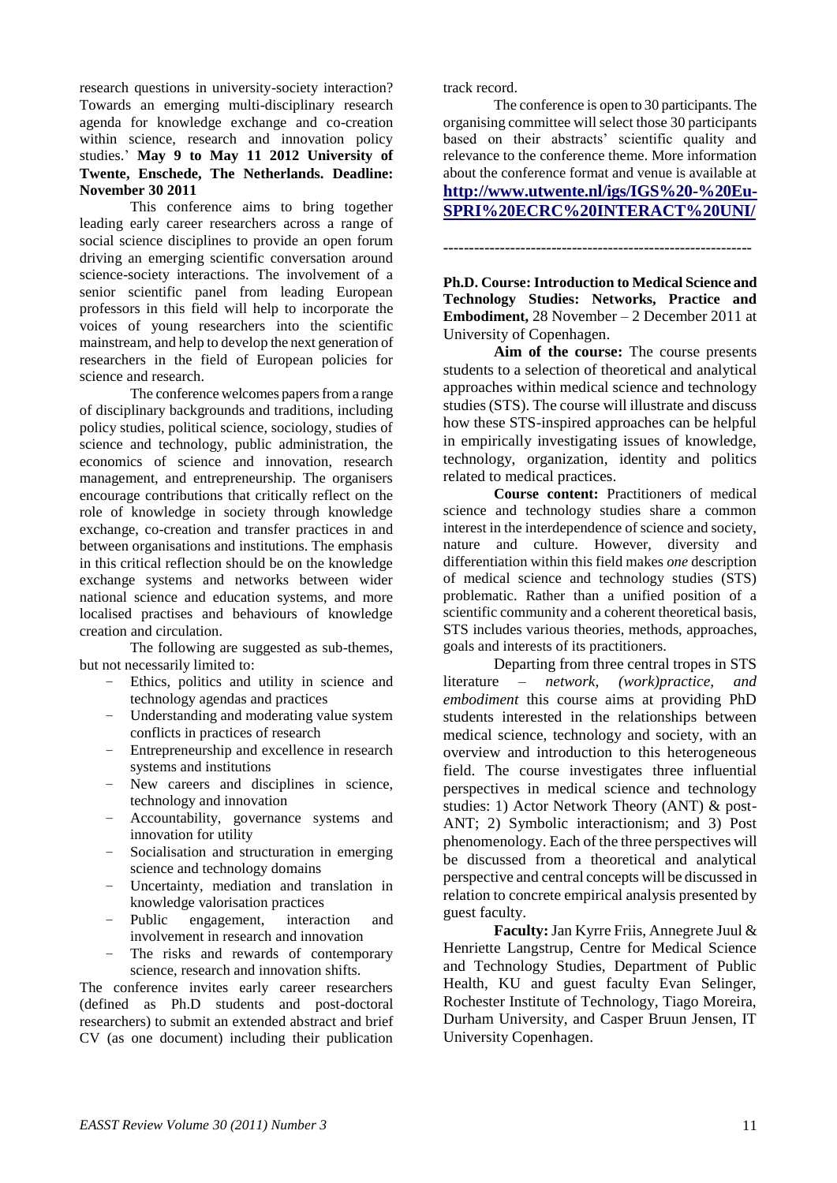research questions in university-society interaction? Towards an emerging multi-disciplinary research agenda for knowledge exchange and co-creation within science, research and innovation policy studies." **May 9 to May 11 2012 University of Twente, Enschede, The Netherlands. Deadline: November 30 2011**

This conference aims to bring together leading early career researchers across a range of social science disciplines to provide an open forum driving an emerging scientific conversation around science-society interactions. The involvement of a senior scientific panel from leading European professors in this field will help to incorporate the voices of young researchers into the scientific mainstream, and help to develop the next generation of researchers in the field of European policies for science and research.

The conference welcomes papers from a range of disciplinary backgrounds and traditions, including policy studies, political science, sociology, studies of science and technology, public administration, the economics of science and innovation, research management, and entrepreneurship. The organisers encourage contributions that critically reflect on the role of knowledge in society through knowledge exchange, co-creation and transfer practices in and between organisations and institutions. The emphasis in this critical reflection should be on the knowledge exchange systems and networks between wider national science and education systems, and more localised practises and behaviours of knowledge creation and circulation.

The following are suggested as sub-themes, but not necessarily limited to:

- Ethics, politics and utility in science and technology agendas and practices
- Understanding and moderating value system conflicts in practices of research
- Entrepreneurship and excellence in research systems and institutions
- New careers and disciplines in science, technology and innovation
- Accountability, governance systems and innovation for utility
- Socialisation and structuration in emerging science and technology domains
- Uncertainty, mediation and translation in knowledge valorisation practices
- Public engagement, interaction and involvement in research and innovation
- The risks and rewards of contemporary science, research and innovation shifts.

The conference invites early career researchers (defined as Ph.D students and post-doctoral researchers) to submit an extended abstract and brief CV (as one document) including their publication track record.

The conference is open to 30 participants. The organising committee will select those 30 participants based on their abstracts' scientific quality and relevance to the conference theme. More information about the conference format and venue is available at **[http://www.utwente.nl/igs/IGS%20-%20Eu-](http://www.utwente.nl/igs/IGS%20-%20Eu-SPRI%20ECRC%20INTERACT%20UNI/)[SPRI%20ECRC%20INTERACT%20UNI/](http://www.utwente.nl/igs/IGS%20-%20Eu-SPRI%20ECRC%20INTERACT%20UNI/)**

**Ph.D. Course: Introduction to Medical Science and Technology Studies: Networks, Practice and Embodiment,** 28 November – 2 December 2011 at University of Copenhagen.

**------------------------------------------------------------**

**Aim of the course:** The course presents students to a selection of theoretical and analytical approaches within medical science and technology studies (STS). The course will illustrate and discuss how these STS-inspired approaches can be helpful in empirically investigating issues of knowledge, technology, organization, identity and politics related to medical practices.

**Course content:** Practitioners of medical science and technology studies share a common interest in the interdependence of science and society, nature and culture. However, diversity and differentiation within this field makes *one* description of medical science and technology studies (STS) problematic. Rather than a unified position of a scientific community and a coherent theoretical basis, STS includes various theories, methods, approaches, goals and interests of its practitioners.

Departing from three central tropes in STS literature – *network, (work)practice, and embodiment* this course aims at providing PhD students interested in the relationships between medical science, technology and society, with an overview and introduction to this heterogeneous field. The course investigates three influential perspectives in medical science and technology studies: 1) Actor Network Theory (ANT) & post-ANT; 2) Symbolic interactionism; and 3) Post phenomenology. Each of the three perspectives will be discussed from a theoretical and analytical perspective and central concepts will be discussed in relation to concrete empirical analysis presented by guest faculty.

**Faculty:** Jan Kyrre Friis, Annegrete Juul & Henriette Langstrup, Centre for Medical Science and Technology Studies, Department of Public Health, KU and guest faculty Evan Selinger, Rochester Institute of Technology, Tiago Moreira, Durham University, and Casper Bruun Jensen, IT University Copenhagen.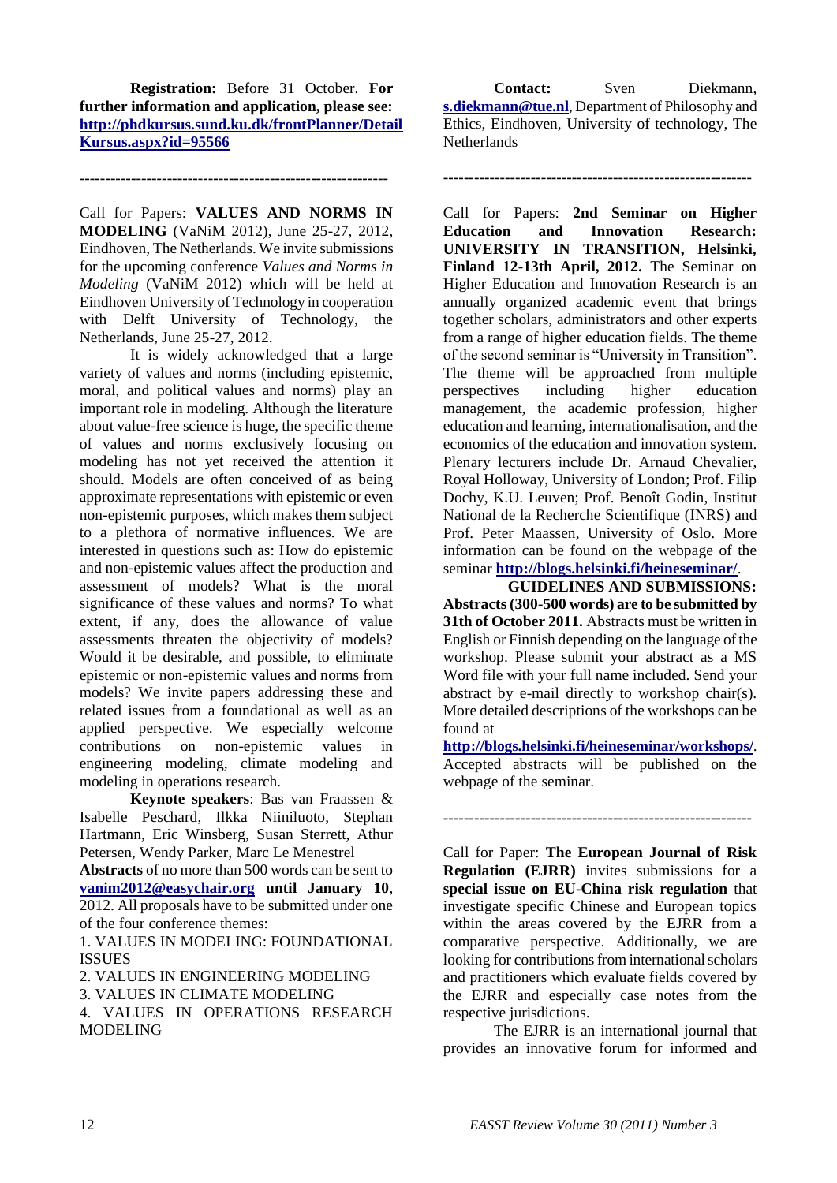**Registration:** Before 31 October. **For further information and application, please see: [http://phdkursus.sund.ku.dk/frontPlanner/Detail](http://phdkursus.sund.ku.dk/frontPlanner/DetailKursus.aspx?id=95566) [Kursus.aspx?id=95566](http://phdkursus.sund.ku.dk/frontPlanner/DetailKursus.aspx?id=95566)**

**------------------------------------------------------------**

Call for Papers: **VALUES AND NORMS IN MODELING** (VaNiM 2012), June 25-27, 2012, Eindhoven, The Netherlands. We invite submissions for the upcoming conference *Values and Norms in Modeling* (VaNiM 2012) which will be held at Eindhoven University of Technology in cooperation with Delft University of Technology, the Netherlands, June 25-27, 2012.

It is widely acknowledged that a large variety of values and norms (including epistemic, moral, and political values and norms) play an important role in modeling. Although the literature about value-free science is huge, the specific theme of values and norms exclusively focusing on modeling has not yet received the attention it should. Models are often conceived of as being approximate representations with epistemic or even non-epistemic purposes, which makes them subject to a plethora of normative influences. We are interested in questions such as: How do epistemic and non-epistemic values affect the production and assessment of models? What is the moral significance of these values and norms? To what extent, if any, does the allowance of value assessments threaten the objectivity of models? Would it be desirable, and possible, to eliminate epistemic or non-epistemic values and norms from models? We invite papers addressing these and related issues from a foundational as well as an applied perspective. We especially welcome contributions on non-epistemic values in engineering modeling, climate modeling and modeling in operations research.

**Keynote speakers**: Bas van Fraassen & Isabelle Peschard, Ilkka Niiniluoto, Stephan Hartmann, Eric Winsberg, Susan Sterrett, Athur Petersen, Wendy Parker, Marc Le Menestrel

**Abstracts** of no more than 500 words can be sent to **[vanim2012@easychair.org](https://webmail.univie.ac.at/src/compose.php?send_to=vanim2012@easychair.org) until January 10**, 2012. All proposals have to be submitted under one of the four conference themes:

1. VALUES IN MODELING: FOUNDATIONAL ISSUES

2. VALUES IN ENGINEERING MODELING

3. VALUES IN CLIMATE MODELING

4. VALUES IN OPERATIONS RESEARCH MODELING

**Contact:** Sven Diekmann, **[s.diekmann@tue.nl](https://webmail.univie.ac.at/src/compose.php?send_to=s.diekmann@tue.nl)**, Department of Philosophy and Ethics, Eindhoven, University of technology, The **Netherlands** 

**------------------------------------------------------------**

Call for Papers: **2nd Seminar on Higher Education and Innovation Research: UNIVERSITY IN TRANSITION, Helsinki, Finland 12-13th April, 2012.** The Seminar on Higher Education and Innovation Research is an annually organized academic event that brings together scholars, administrators and other experts from a range of higher education fields. The theme of the second seminar is "University in Transition". The theme will be approached from multiple perspectives including higher education management, the academic profession, higher education and learning, internationalisation, and the economics of the education and innovation system. Plenary lecturers include Dr. Arnaud Chevalier, Royal Holloway, University of London; Prof. Filip Dochy, K.U. Leuven; Prof. Benoît Godin, Institut National de la Recherche Scientifique (INRS) and Prof. Peter Maassen, University of Oslo. More information can be found on the webpage of the seminar **<http://blogs.helsinki.fi/heineseminar/>**.

**GUIDELINES AND SUBMISSIONS: Abstracts (300-500 words) are to be submitted by 31th of October 2011.** Abstracts must be written in English or Finnish depending on the language of the workshop. Please submit your abstract as a MS Word file with your full name included. Send your abstract by e-mail directly to workshop chair(s). More detailed descriptions of the workshops can be found at

**<http://blogs.helsinki.fi/heineseminar/workshops/>**. Accepted abstracts will be published on the webpage of the seminar.

**------------------------------------------------------------**

Call for Paper: **The European Journal of Risk Regulation (EJRR)** invites submissions for a **special issue on EU-China risk regulation** that investigate specific Chinese and European topics within the areas covered by the EJRR from a comparative perspective. Additionally, we are looking for contributions from international scholars and practitioners which evaluate fields covered by the EJRR and especially case notes from the respective jurisdictions.

The EJRR is an international journal that provides an innovative forum for informed and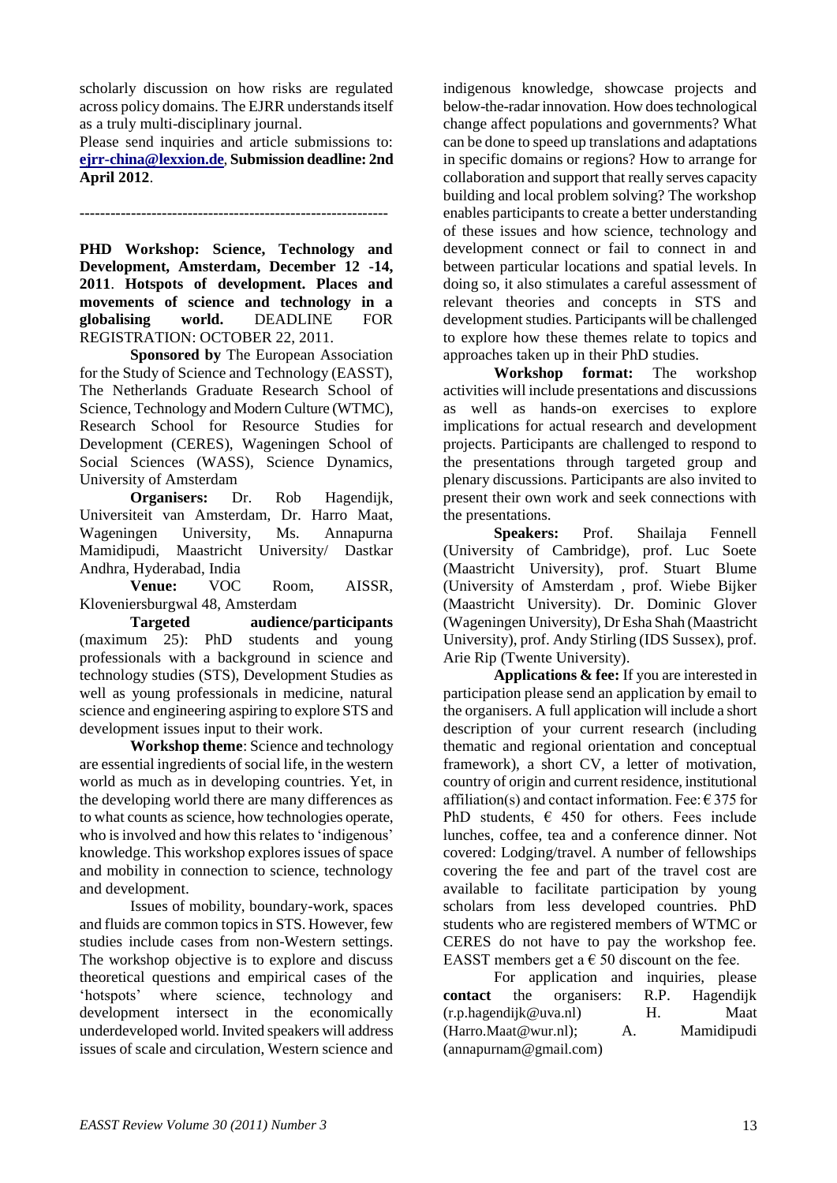scholarly discussion on how risks are regulated across policy domains. The EJRR understands itself as a truly multi-disciplinary journal.

Please send inquiries and article submissions to: **[ejrr-china@lexxion.de](https://webmail.univie.ac.at/src/compose.php?send_to=ejrr-china%40lexxion.de)**, **Submission deadline: 2nd April 2012**.

**------------------------------------------------------------**

**PHD Workshop: Science, Technology and Development, Amsterdam, December 12 -14, 2011**. **Hotspots of development. Places and movements of science and technology in a globalising world.** DEADLINE FOR REGISTRATION: OCTOBER 22, 2011.

**Sponsored by** The European Association for the Study of Science and Technology (EASST), The Netherlands Graduate Research School of Science, Technology and Modern Culture (WTMC), Research School for Resource Studies for Development (CERES), Wageningen School of Social Sciences (WASS), Science Dynamics, University of Amsterdam

**Organisers:** Dr. Rob Hagendijk, Universiteit van Amsterdam, Dr. Harro Maat, Wageningen University, Ms. Annapurna Mamidipudi, Maastricht University/ Dastkar Andhra, Hyderabad, India

**Venue:** VOC Room, AISSR, Kloveniersburgwal 48, Amsterdam

**Targeted audience/participants** (maximum 25): PhD students and young professionals with a background in science and technology studies (STS), Development Studies as well as young professionals in medicine, natural science and engineering aspiring to explore STS and development issues input to their work.

**Workshop theme**: Science and technology are essential ingredients of social life, in the western world as much as in developing countries. Yet, in the developing world there are many differences as to what counts as science, how technologies operate, who is involved and how this relates to 'indigenous' knowledge. This workshop explores issues of space and mobility in connection to science, technology and development.

Issues of mobility, boundary-work, spaces and fluids are common topics in STS. However, few studies include cases from non-Western settings. The workshop objective is to explore and discuss theoretical questions and empirical cases of the "hotspots" where science, technology and development intersect in the economically underdeveloped world. Invited speakers will address issues of scale and circulation, Western science and

indigenous knowledge, showcase projects and below-the-radar innovation. How does technological change affect populations and governments? What can be done to speed up translations and adaptations in specific domains or regions? How to arrange for collaboration and support that really serves capacity building and local problem solving? The workshop enables participants to create a better understanding of these issues and how science, technology and development connect or fail to connect in and between particular locations and spatial levels. In doing so, it also stimulates a careful assessment of relevant theories and concepts in STS and development studies. Participants will be challenged to explore how these themes relate to topics and approaches taken up in their PhD studies.

**Workshop format:** The workshop activities will include presentations and discussions as well as hands-on exercises to explore implications for actual research and development projects. Participants are challenged to respond to the presentations through targeted group and plenary discussions. Participants are also invited to present their own work and seek connections with the presentations.

**Speakers:** Prof. Shailaja Fennell (University of Cambridge), prof. Luc Soete (Maastricht University), prof. Stuart Blume (University of Amsterdam , prof. Wiebe Bijker (Maastricht University). Dr. Dominic Glover (Wageningen University), Dr Esha Shah (Maastricht University), prof. Andy Stirling (IDS Sussex), prof. Arie Rip (Twente University).

**Applications & fee:** If you are interested in participation please send an application by email to the organisers. A full application will include a short description of your current research (including thematic and regional orientation and conceptual framework), a short CV, a letter of motivation, country of origin and current residence, institutional affiliation(s) and contact information. Fee:  $\epsilon$  375 for PhD students,  $\epsilon$  450 for others. Fees include lunches, coffee, tea and a conference dinner. Not covered: Lodging/travel. A number of fellowships covering the fee and part of the travel cost are available to facilitate participation by young scholars from less developed countries. PhD students who are registered members of WTMC or CERES do not have to pay the workshop fee. EASST members get a  $\epsilon$  50 discount on the fee.

For application and inquiries, please **contact** the organisers: R.P. Hagendijk ([r.p.hagendijk@uva.nl](mailto:r.p.hagendijk@uva.nl)) H. Maat ([Harro.Maat@wur.nl](mailto:Harro.Maat@wur.nl)); A. Mamidipudi ([annapurnam@gmail.com](mailto:annapurnam@gmail.com))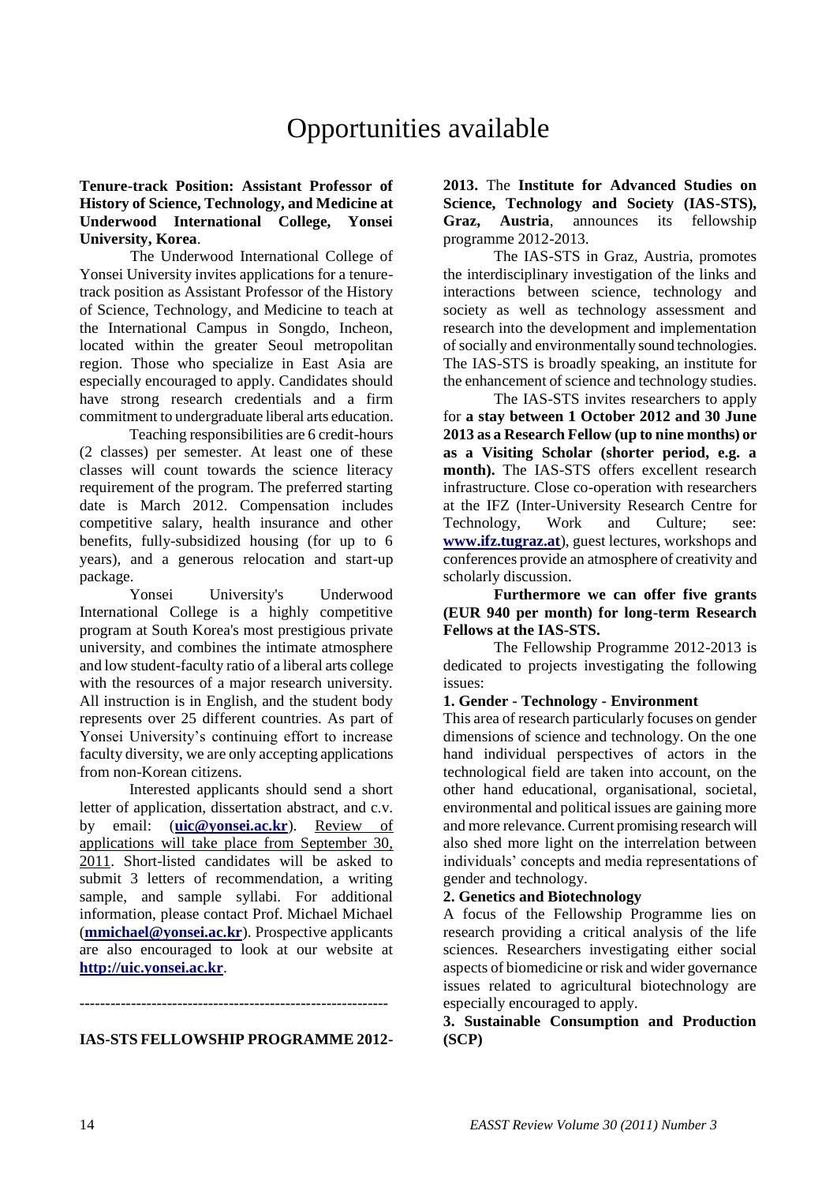# Opportunities available

#### **Tenure-track Position: Assistant Professor of History of Science, Technology, and Medicine at Underwood International College, Yonsei University, Korea**.

The Underwood International College of Yonsei University invites applications for a tenuretrack position as Assistant Professor of the History of Science, Technology, and Medicine to teach at the International Campus in Songdo, Incheon, located within the greater Seoul metropolitan region. Those who specialize in East Asia are especially encouraged to apply. Candidates should have strong research credentials and a firm commitment to undergraduate liberal arts education.

Teaching responsibilities are 6 credit-hours (2 classes) per semester. At least one of these classes will count towards the science literacy requirement of the program. The preferred starting date is March 2012. Compensation includes competitive salary, health insurance and other benefits, fully-subsidized housing (for up to 6 years), and a generous relocation and start-up package.

Yonsei University's Underwood International College is a highly competitive program at South Korea's most prestigious private university, and combines the intimate atmosphere and low student-faculty ratio of a liberal arts college with the resources of a major research university. All instruction is in English, and the student body represents over 25 different countries. As part of Yonsei University"s continuing effort to increase faculty diversity, we are only accepting applications from non-Korean citizens.

Interested applicants should send a short letter of application, dissertation abstract, and c.v. by email: (**[uic@yonsei.ac.kr](https://webmail.univie.ac.at/src/compose.php?send_to=uic@yonsei.ac.kr)**). Review of applications will take place from September 30, 2011. Short-listed candidates will be asked to submit 3 letters of recommendation, a writing sample, and sample syllabi. For additional information, please contact Prof. Michael Michael (**[mmichael@yonsei.ac.kr](https://webmail.univie.ac.at/src/compose.php?send_to=mmichael@yonsei.ac.kr)**). Prospective applicants are also encouraged to look at our website at **[http://uic.yonsei.ac.kr](http://uic.yonsei.ac.kr/)**.

# **IAS-STS FELLOWSHIP PROGRAMME 2012-**

**------------------------------------------------------------**

**2013.** The **Institute for Advanced Studies on Science, Technology and Society (IAS-STS), Graz, Austria**, announces its fellowship programme 2012-2013.

The IAS-STS in Graz, Austria, promotes the interdisciplinary investigation of the links and interactions between science, technology and society as well as technology assessment and research into the development and implementation of socially and environmentally sound technologies. The IAS-STS is broadly speaking, an institute for the enhancement of science and technology studies.

The IAS-STS invites researchers to apply for **a stay between 1 October 2012 and 30 June 2013 as a Research Fellow (up to nine months) or as a Visiting Scholar (shorter period, e.g. a month).** The IAS-STS offers excellent research infrastructure. Close co-operation with researchers at the IFZ (Inter-University Research Centre for Technology, Work and Culture; see: **[www.ifz.tugraz.at](http://www.ifz.tugraz.at/)**), guest lectures, workshops and conferences provide an atmosphere of creativity and scholarly discussion.

**Furthermore we can offer five grants (EUR 940 per month) for long-term Research Fellows at the IAS-STS.** 

The Fellowship Programme 2012-2013 is dedicated to projects investigating the following issues:

#### **1. Gender - Technology - Environment**

This area of research particularly focuses on gender dimensions of science and technology. On the one hand individual perspectives of actors in the technological field are taken into account, on the other hand educational, organisational, societal, environmental and political issues are gaining more and more relevance. Current promising research will also shed more light on the interrelation between individuals" concepts and media representations of gender and technology.

#### **2. Genetics and Biotechnology**

A focus of the Fellowship Programme lies on research providing a critical analysis of the life sciences. Researchers investigating either social aspects of biomedicine or risk and wider governance issues related to agricultural biotechnology are especially encouraged to apply.

#### **3. Sustainable Consumption and Production (SCP)**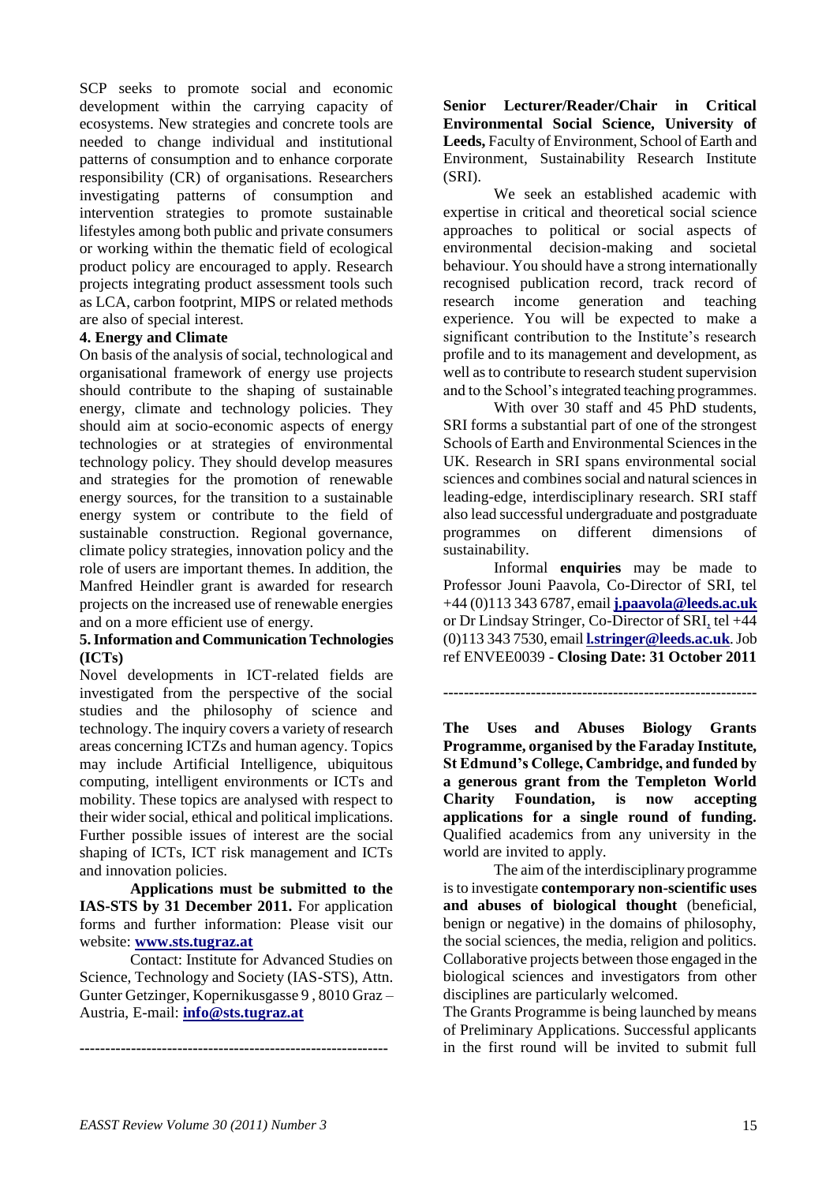SCP seeks to promote social and economic development within the carrying capacity of ecosystems. New strategies and concrete tools are needed to change individual and institutional patterns of consumption and to enhance corporate responsibility (CR) of organisations. Researchers investigating patterns of consumption and intervention strategies to promote sustainable lifestyles among both public and private consumers or working within the thematic field of ecological product policy are encouraged to apply. Research projects integrating product assessment tools such as LCA, carbon footprint, MIPS or related methods are also of special interest.

#### **4. Energy and Climate**

On basis of the analysis of social, technological and organisational framework of energy use projects should contribute to the shaping of sustainable energy, climate and technology policies. They should aim at socio-economic aspects of energy technologies or at strategies of environmental technology policy. They should develop measures and strategies for the promotion of renewable energy sources, for the transition to a sustainable energy system or contribute to the field of sustainable construction. Regional governance, climate policy strategies, innovation policy and the role of users are important themes. In addition, the Manfred Heindler grant is awarded for research projects on the increased use of renewable energies and on a more efficient use of energy.

#### **5. Information and Communication Technologies (ICTs)**

Novel developments in ICT-related fields are investigated from the perspective of the social studies and the philosophy of science and technology. The inquiry covers a variety of research areas concerning ICTZs and human agency. Topics may include Artificial Intelligence, ubiquitous computing, intelligent environments or ICTs and mobility. These topics are analysed with respect to their wider social, ethical and political implications. Further possible issues of interest are the social shaping of ICTs, ICT risk management and ICTs and innovation policies.

**Applications must be submitted to the IAS-STS by 31 December 2011.** For application forms and further information: Please visit our website: **[www.sts.tugraz.at](http://www.sts.tugraz.at/)**

Contact: Institute for Advanced Studies on Science, Technology and Society (IAS-STS), Attn. Gunter Getzinger, Kopernikusgasse 9 , 8010 Graz – Austria, E-mail: **[info@sts.tugraz.at](https://webmail.univie.ac.at/src/compose.php?send_to=info@sts.tugraz.at)**

**------------------------------------------------------------**

**Senior Lecturer/Reader/Chair in Critical Environmental Social Science, University of Leeds,** Faculty of Environment, School of Earth and Environment, Sustainability Research Institute (SRI).

We seek an established academic with expertise in critical and theoretical social science approaches to political or social aspects of environmental decision-making and societal behaviour. You should have a strong internationally recognised publication record, track record of research income generation and teaching experience. You will be expected to make a significant contribution to the Institute's research profile and to its management and development, as well as to contribute to research student supervision and to the School"s integrated teaching programmes.

With over 30 staff and 45 PhD students, SRI forms a substantial part of one of the strongest Schools of Earth and Environmental Sciences in the UK. Research in SRI spans environmental social sciences and combines social and natural sciences in leading-edge, interdisciplinary research. SRI staff also lead successful undergraduate and postgraduate programmes on different dimensions of sustainability.

Informal **enquiries** may be made to Professor Jouni Paavola, Co-Director of SRI, tel +44 (0)113 343 6787, email **[j.paavola@leeds.ac.uk](mailto:j.paavola@leeds.ac.uk)** or Dr Lindsay Stringer, Co-Director of SRI, tel +44 (0)113 343 7530, email **[l.stringer@leeds.ac.uk](mailto:l.stringer@leeds.ac.uk)**. Job ref ENVEE0039 - **Closing Date: 31 October 2011**

#### **-------------------------------------------------------------**

**The Uses and Abuses Biology Grants Programme, organised by the Faraday Institute, St Edmund's College, Cambridge, and funded by a generous grant from the Templeton World Charity Foundation, is now accepting applications for a single round of funding.** Qualified academics from any university in the world are invited to apply.

The aim of the interdisciplinary programme is to investigate **contemporary non-scientific uses and abuses of biological thought** (beneficial, benign or negative) in the domains of philosophy, the social sciences, the media, religion and politics. Collaborative projects between those engaged in the biological sciences and investigators from other disciplines are particularly welcomed.

The Grants Programme is being launched by means of Preliminary Applications. Successful applicants in the first round will be invited to submit full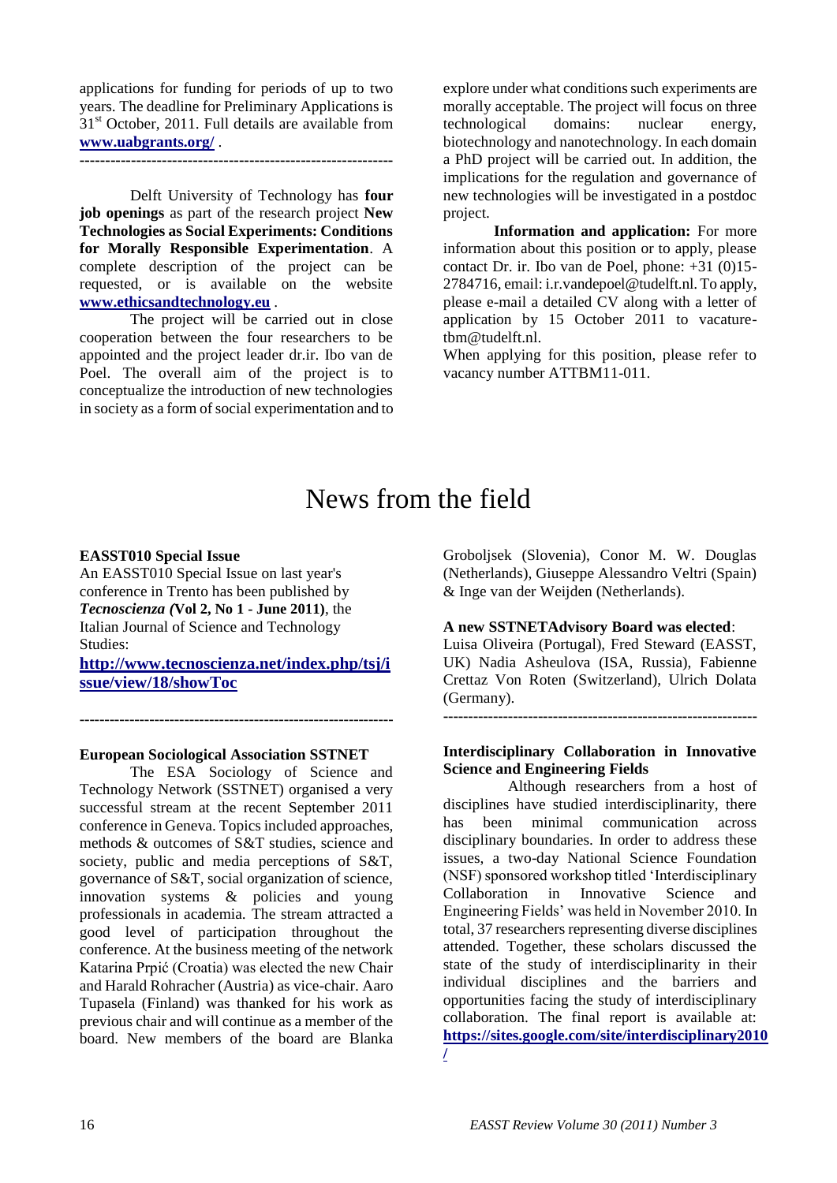applications for funding for periods of up to two years. The deadline for Preliminary Applications is  $31<sup>st</sup>$  October, 2011. Full details are available from **[www.uabgrants.org/](http://www.uabgrants.org/)** .

**-------------------------------------------------------------**

Delft University of Technology has **four job openings** as part of the research project **New Technologies as Social Experiments: Conditions for Morally Responsible Experimentation**. A complete description of the project can be requested, or is available on the website **[www.ethicsandtechnology.eu](http://www.ethicsandtechnology.eu/)** .

The project will be carried out in close cooperation between the four researchers to be appointed and the project leader dr.ir. Ibo van de Poel. The overall aim of the project is to conceptualize the introduction of new technologies in society as a form of social experimentation and to explore under what conditions such experiments are morally acceptable. The project will focus on three technological domains: nuclear energy, biotechnology and nanotechnology. In each domain a PhD project will be carried out. In addition, the implications for the regulation and governance of new technologies will be investigated in a postdoc project.

**Information and application:** For more information about this position or to apply, please contact Dr. ir. Ibo van de Poel, phone: +31 (0)15- 2784716, email: i.r.vandepoel@tudelft.nl. To apply, please e-mail a detailed CV along with a letter of application by 15 October 2011 to vacaturetbm@tudelft.nl.

When applying for this position, please refer to vacancy number ATTBM11-011.

## News from the field

#### **EASST010 Special Issue**

An EASST010 Special Issue on last year's conference in Trento has been published by *Tecnoscienza (***Vol 2, No 1 - June 2011)**, the Italian Journal of Science and Technology Studies:

**[http://www.tecnoscienza.net/index.php/tsj/i](http://www.tecnoscienza.net/index.php/tsj/issue/view/18/showToc) [ssue/view/18/showToc](http://www.tecnoscienza.net/index.php/tsj/issue/view/18/showToc)**

**---------------------------------------------------------------**

#### **European Sociological Association SSTNET**

The ESA Sociology of Science and Technology Network (SSTNET) organised a very successful stream at the recent September 2011 conference in Geneva. Topics included approaches, methods & outcomes of S&T studies, science and society, public and media perceptions of S&T, governance of S&T, social organization of science, innovation systems & policies and young professionals in academia. The stream attracted a good level of participation throughout the conference. At the business meeting of the network Katarina Prpić (Croatia) was elected the new Chair and Harald Rohracher (Austria) as vice-chair. Aaro Tupasela (Finland) was thanked for his work as previous chair and will continue as a member of the board. New members of the board are Blanka

Groboljsek (Slovenia), Conor M. W. Douglas (Netherlands), Giuseppe Alessandro Veltri (Spain) & Inge van der Weijden (Netherlands).

#### **A new SSTNETAdvisory Board was elected**:

Luisa Oliveira (Portugal), Fred Steward (EASST, UK) Nadia Asheulova (ISA, Russia), Fabienne Crettaz Von Roten (Switzerland), Ulrich Dolata (Germany).

**---------------------------------------------------------------**

#### **Interdisciplinary Collaboration in Innovative Science and Engineering Fields**

Although researchers from a host of disciplines have studied interdisciplinarity, there has been minimal communication across disciplinary boundaries. In order to address these issues, a two-day National Science Foundation (NSF) sponsored workshop titled "Interdisciplinary Collaboration in Innovative Science and Engineering Fields" was held in November 2010. In total, 37 researchers representing diverse disciplines attended. Together, these scholars discussed the state of the study of interdisciplinarity in their individual disciplines and the barriers and opportunities facing the study of interdisciplinary collaboration. The final report is available at: **[https://sites.google.com/site/interdisciplinary2010](https://sites.google.com/site/interdisciplinary2010/) [/](https://sites.google.com/site/interdisciplinary2010/)**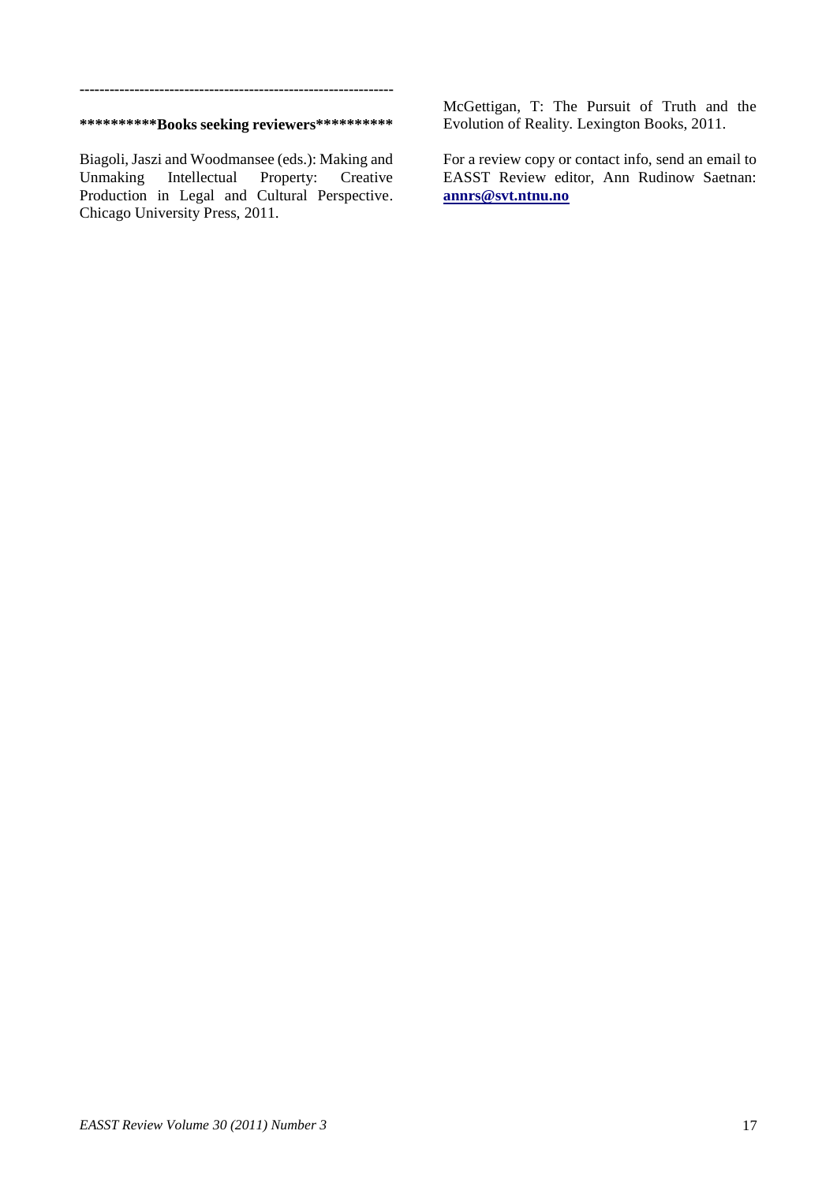#### **\*\*\*\*\*\*\*\*\*\*Books seeking reviewers\*\*\*\*\*\*\*\*\*\***

**---------------------------------------------------------------**

Biagoli, Jaszi and Woodmansee (eds.): Making and Unmaking Intellectual Property: Creative Production in Legal and Cultural Perspective. Chicago University Press, 2011.

McGettigan, T: The Pursuit of Truth and the Evolution of Reality. Lexington Books, 2011.

For a review copy or contact info, send an email to EASST Review editor, Ann Rudinow Saetnan: **[annrs@svt.ntnu.no](mailto:annrs@svt.ntnu.no)**